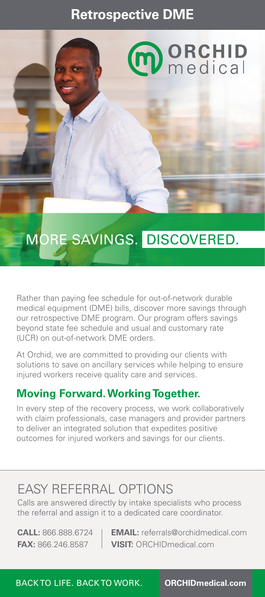### **Retrospective DME**



## MORE SAVINGS. DISCOVERED.

Rather than paying fee schedule for out-of-network durable medical equipment (DME) bills, discover more savings through our retrospective DME program. Our program offers savings beyond state fee schedule and usual and customary rate (UCR) on out-of-network DME orders.

At Orchid, we are committed to providing our clients with solutions to save on ancillary services while helping to ensure injured workers receive quality care and services.

#### **Moving Forward. Working Together.**

In every step of the recovery process, we work collaboratively with claim professionals, case managers and provider partners to deliver an integrated solution that expedites positive outcomes for injured workers and savings for our clients.

### EASY REFERRAL OPTIONS

Calls are answered directly by intake specialists who process the referral and assign it to a dedicated care coordinator.

**CALL:** 866.888.6724 **EMAIL:** referrals@orchidmedical.com **FAX:** 866.246.8587 **VISIT:** ORCHIDmedical.com

BACK TO LIFE. BACK TO WORK. **ORCHIDmedical.com**